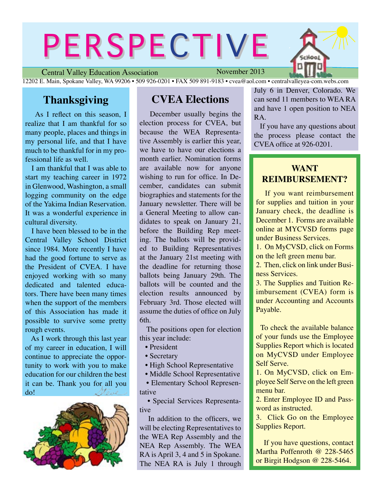# PERSPECTIVE

Central Valley Education Association November 2013 12202 E. Main, Spokane Valley, WA 99206 • 509 926-0201 • FAX 509 891-9183 • cvea@aol.com • centralvalleyea-com.webs.com

# **Thanksgiving**

As I reflect on this season, I realize that I am thankful for so many people, places and things in my personal life, and that I have much to be thankful for in my professional life as well.

 I am thankful that I was able to start my teaching career in 1972 in Glenwood, Washington, a small logging community on the edge of the Yakima Indian Reservation. It was a wonderful experience in cultural diversity.

 I have been blessed to be in the Central Valley School District since 1984. More recently I have had the good fortune to serve as the President of CVEA. I have enjoyed working with so many dedicated and talented educators. There have been many times when the support of the members of this Association has made it possible to survive some pretty rough events.

 As I work through this last year of my career in education, I will continue to appreciate the opportunity to work with you to make education for our children the best it can be. Thank you for all you<br>do! do!



# **CVEA Elections**

 December usually begins the election process for CVEA, but because the WEA Representative Assembly is earlier this year, we have to have our elections a month earlier. Nomination forms are available now for anyone wishing to run for office. In December, candidates can submit biographies and statements for the January newsletter. There will be a General Meeting to allow candidates to speak on January 21, before the Building Rep meeting. The ballots will be provided to Building Representatives at the January 21st meeting with the deadline for returning those ballots being January 29th. The ballots will be counted and the election results announced by February 3rd. Those elected will assume the duties of office on July 6th.

 The positions open for election this year include:

- President
- Secretary
- High School Representative
- Middle School Representative

 • Elementary School Representative

 • Special Services Representative

 In addition to the officers, we will be electing Representatives to the WEA Rep Assembly and the NEA Rep Assembly. The WEA RA is April 3, 4 and 5 in Spokane. The NEA RA is July 1 through July 6 in Denver, Colorado. We can send 11 members to WEA RA and have 1 open position to NEA RA.

 If you have any questions about the process please contact the CVEA office at 926-0201.

# **WANT REIMBURSEMENT?**

 If you want reimbursement for supplies and tuition in your January check, the deadline is December 1. Forms are available online at MYCVSD forms page under Business Services.

1. On MyCVSD, click on Forms on the left green menu bar.

2. Then, click on link under Business Services.

3. The Supplies and Tuition Reimbursement (CVEA) form is under Accounting and Accounts Payable.

 To check the available balance of your funds use the Employee Supplies Report which is located on MyCVSD under Employee Self Serve.

1. On MyCVSD, click on Employee Self Serve on the left green menu bar.

2. Enter Employee ID and Password as instructed.

3. Click Go on the Employee Supplies Report.

 If you have questions, contact Martha Poffenroth @ 228-5465 or Birgit Hodgson @ 228-5464.

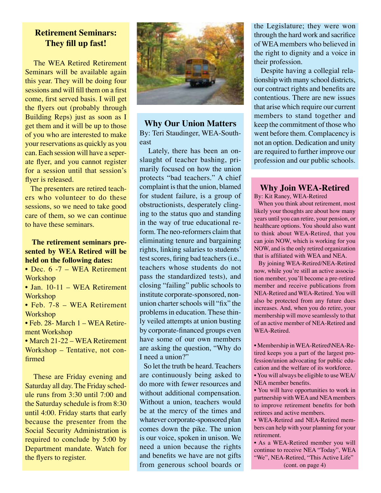## **Retirement Seminars: They fill up fast!**

 The WEA Retired Retirement Seminars will be available again this year. They will be doing four sessions and will fill them on a first come, first served basis. I will get the flyers out (probably through Building Reps) just as soon as I get them and it will be up to those of you who are interested to make your reservations as quickly as you can. Each session will have a seperate flyer, and you cannot register for a session until that session's flyer is released.

 The presenters are retired teachers who volunteer to do these sessions, so we need to take good care of them, so we can continue to have these seminars.

### **The retirement seminars presented by WEA Retired will be held on the following dates:**

• Dec. 6 -7 – WEA Retirement **Workshop** 

• Jan. 10-11 – WEA Retirement Workshop

• Feb. 7-8 – WEA Retirement **Workshop** 

• Feb. 28- March 1 – WEA Retirement Workshop

• March 21-22 – WEA Retirement Workshop – Tentative, not confirmed

 These are Friday evening and Saturday all day. The Friday schedule runs from 3:30 until 7:00 and the Saturday schedule is from 8:30 until 4:00. Friday starts that early because the presenter from the Social Security Administration is required to conclude by 5:00 by Department mandate. Watch for the flyers to register.



**Why Our Union Matters** By: Teri Staudinger, WEA-Southeast

 Lately, there has been an onslaught of teacher bashing, primarily focused on how the union protects "bad teachers." A chief complaint is that the union, blamed for student failure, is a group of obstructionists, desperately clinging to the status quo and standing in the way of true educational reform. The neo-reformers claim that eliminating tenure and bargaining rights, linking salaries to students' test scores, firing bad teachers (i.e., teachers whose students do not pass the standardized tests), and closing "failing" public schools to institute corporate-sponsored, nonunion charter schools will "fix" the problems in education. These thinly veiled attempts at union busting by corporate-financed groups even have some of our own members are asking the question, "Why do I need a union?"

 So let the truth be heard. Teachers are continuously being asked to do more with fewer resources and without additional compensation. Without a union, teachers would be at the mercy of the times and whatever corporate-sponsored plan comes down the pike. The union is our voice, spoken in unison. We need a union because the rights and benefits we have are not gifts from generous school boards or the Legislature; they were won through the hard work and sacrifice of WEA members who believed in the right to dignity and a voice in their profession.

 Despite having a collegial relationship with many school districts, our contract rights and benefits are contentious. There are new issues that arise which require our current members to stand together and keep the commitment of those who went before them. Complacency is not an option. Dedication and unity are required to further improve our profession and our public schools.

#### **Why Join WEA-Retired**

By: Kit Raney, WEA-Retired

 When you think about retirement, most likely your thoughts are about how many years until you can retire, your pension, or healthcare options. You should also want to think about WEA-Retired, that you can join NOW, which is working for you NOW, and is the only retired organization that is affiliated with WEA and NEA.

 By joining WEA-Retired/NEA-Retired now, while you're still an active association member, you'll become a pre-retired member and receive publications from NEA-Retired and WEA-Retired. You will also be protected from any future dues increases. And, when you do retire, your membership will move seamlessly to that of an active member of NEA-Retired and WEA-Retired.

• Membership in WEA-Retired\NEA-Retired keeps you a part of the largest profession/union advocating for public education and the welfare of its workforce.

• You will always be eligible to use WEA/ NEA member benefits.

• You will have opportunities to work in partnership with WEA and NEA members to improve retirement benefits for both retirees and active members.

• WEA-Retired and NEA-Retired members can help with your planning for your retirement.

• As a WEA-Retired member you will continue to receive NEA "Today", WEA "We", NEA-Retired, "This Active Life" (cont. on page 4)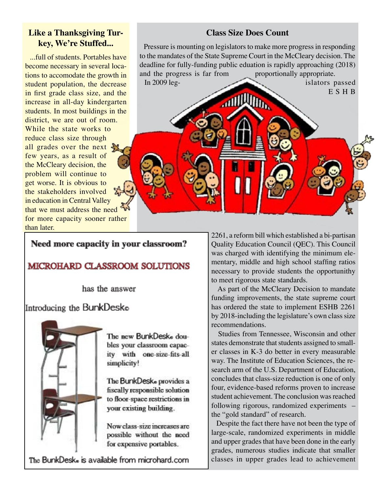## **Like a Thanksgiving Turkey, We're Stuffed...**

 ...full of students. Portables have become necessary in several locations to accomodate the growth in student population, the decrease in first grade class size, and the increase in all-day kindergarten students. In most buildings in the district, we are out of room. While the state works to reduce class size through all grades over the next few years, as a result of the McCleary decision, the problem will continue to get worse. It is obvious to the stakeholders involved in education in Central Valley that we must address the need for more capacity sooner rather than later.

## **Class Size Does Count**

 Pressure is mounting on legislators to make more progress in responding to the mandates of the State Supreme Court in the McCleary decision. The deadline for fully-funding public eduation is rapidly approaching (2018) and the progress is far from proportionally appropriate. In 2009 leg-<br>islators passed

**ANTIQUITY** 

Need more capacity in your classroom?

## **MICROHARD CLASSROOM SOLUTIONS**

has the answer

Introducing the BunkDeske



The new BunkDeske doubles your classroom capacity with one-size-fits-all simplicity!

The BunkDesk<sub>®</sub> provides a fiscally responsible solution to floor-space restrictions in your existing building.

Now class-size increases are possible without the need for expensive portables.

The BunkDesk. is available from microhard.com

2261, a reform bill which established a bi-partisan Quality Education Council (QEC). This Council was charged with identifying the minimum elementary, middle and high school staffing ratios necessary to provide students the opportunithy to meet rigorous state standards.

E S H B

 As part of the McCleary Decision to mandate funding improvements, the state supreme court has ordered the state to implement ESHB 2261 by 2018-including the legislature's own class size recommendations.

 Studies from Tennessee, Wisconsin and other states demonstrate that students assigned to smaller classes in K-3 do better in every measurable way. The Institute of Education Sciences, the research arm of the U.S. Department of Education, concludes that class-size reduction is one of only four, evidence-based reforms proven to increase student achievement. The conclusion was reached following rigorous, randomized experiments – the "gold standard" of research.

 Despite the fact there have not been the type of large-scale, randomized experiments in middle and upper grades that have been done in the early grades, numerous studies indicate that smaller classes in upper grades lead to achievement